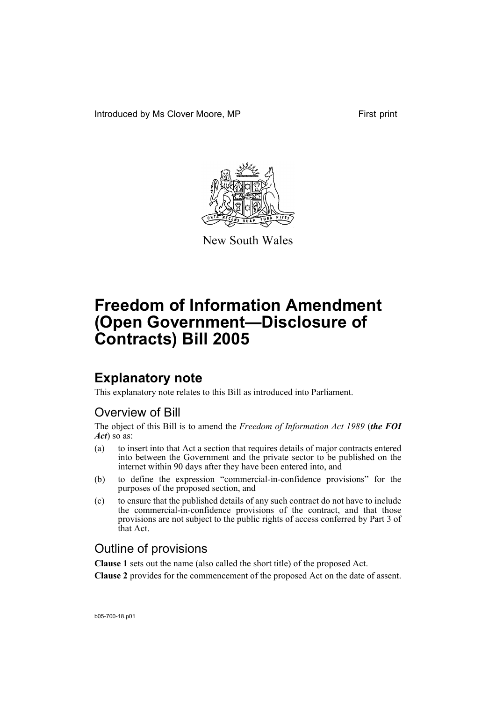Introduced by Ms Clover Moore, MP First print



New South Wales

# **Freedom of Information Amendment (Open Government—Disclosure of Contracts) Bill 2005**

# **Explanatory note**

This explanatory note relates to this Bill as introduced into Parliament.

# Overview of Bill

The object of this Bill is to amend the *Freedom of Information Act 1989* (*the FOI Act*) so as:

- (a) to insert into that Act a section that requires details of major contracts entered into between the Government and the private sector to be published on the internet within 90 days after they have been entered into, and
- (b) to define the expression "commercial-in-confidence provisions" for the purposes of the proposed section, and
- (c) to ensure that the published details of any such contract do not have to include the commercial-in-confidence provisions of the contract, and that those provisions are not subject to the public rights of access conferred by Part 3 of that Act.

# Outline of provisions

**Clause 1** sets out the name (also called the short title) of the proposed Act.

**Clause 2** provides for the commencement of the proposed Act on the date of assent.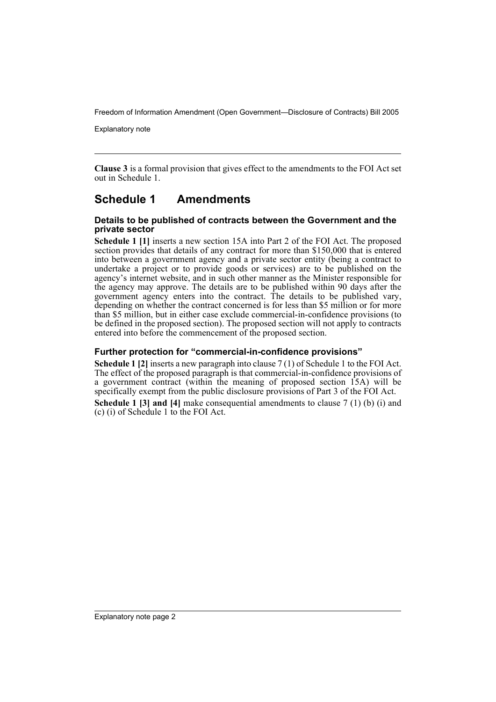Explanatory note

**Clause 3** is a formal provision that gives effect to the amendments to the FOI Act set out in Schedule 1.

## **Schedule 1 Amendments**

#### **Details to be published of contracts between the Government and the private sector**

**Schedule 1 [1]** inserts a new section 15A into Part 2 of the FOI Act. The proposed section provides that details of any contract for more than \$150,000 that is entered into between a government agency and a private sector entity (being a contract to undertake a project or to provide goods or services) are to be published on the agency's internet website, and in such other manner as the Minister responsible for the agency may approve. The details are to be published within 90 days after the government agency enters into the contract. The details to be published vary, depending on whether the contract concerned is for less than \$5 million or for more than \$5 million, but in either case exclude commercial-in-confidence provisions (to be defined in the proposed section). The proposed section will not apply to contracts entered into before the commencement of the proposed section.

### **Further protection for "commercial-in-confidence provisions"**

**Schedule 1 [2]** inserts a new paragraph into clause 7 (1) of Schedule 1 to the FOI Act. The effect of the proposed paragraph is that commercial-in-confidence provisions of a government contract (within the meaning of proposed section 15A) will be specifically exempt from the public disclosure provisions of Part 3 of the FOI Act. **Schedule 1 [3] and [4]** make consequential amendments to clause 7 (1) (b) (i) and (c) (i) of Schedule 1 to the FOI Act.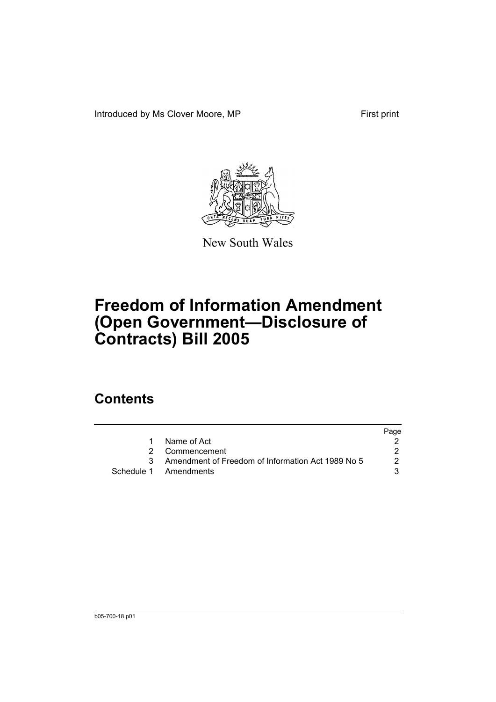Introduced by Ms Clover Moore, MP First print



New South Wales

# **Freedom of Information Amendment (Open Government—Disclosure of Contracts) Bill 2005**

# **Contents**

|                                                     | Page |
|-----------------------------------------------------|------|
| Name of Act                                         |      |
| 2 Commencement                                      |      |
| 3 Amendment of Freedom of Information Act 1989 No 5 | 2    |
| Schedule 1 Amendments                               |      |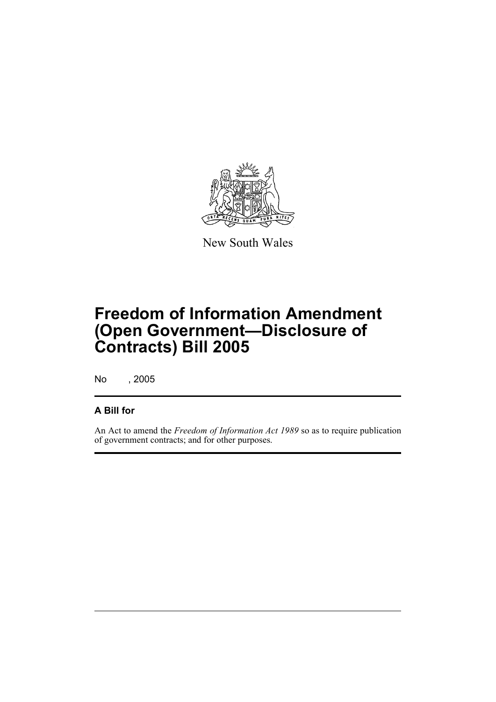

New South Wales

# **Freedom of Information Amendment (Open Government—Disclosure of Contracts) Bill 2005**

No , 2005

## **A Bill for**

An Act to amend the *Freedom of Information Act 1989* so as to require publication of government contracts; and for other purposes.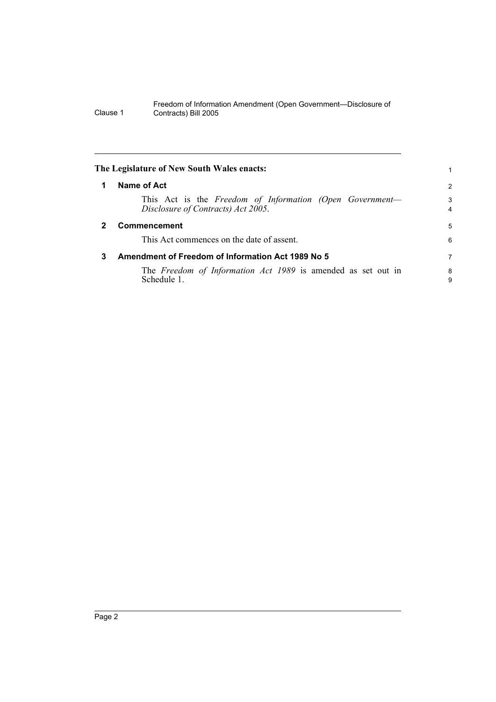<span id="page-5-2"></span><span id="page-5-1"></span><span id="page-5-0"></span>

|              | The Legislature of New South Wales enacts:                                                     |                     |
|--------------|------------------------------------------------------------------------------------------------|---------------------|
|              | Name of Act                                                                                    | $\overline{2}$      |
|              | This Act is the Freedom of Information (Open Government-<br>Disclosure of Contracts) Act 2005. | 3<br>$\overline{4}$ |
| $\mathbf{2}$ | <b>Commencement</b>                                                                            | 5                   |
|              | This Act commences on the date of assent.                                                      | 6                   |
| 3            | Amendment of Freedom of Information Act 1989 No 5                                              | 7                   |
|              | The Freedom of Information Act 1989 is amended as set out in<br>Schedule 1.                    | 8<br>9              |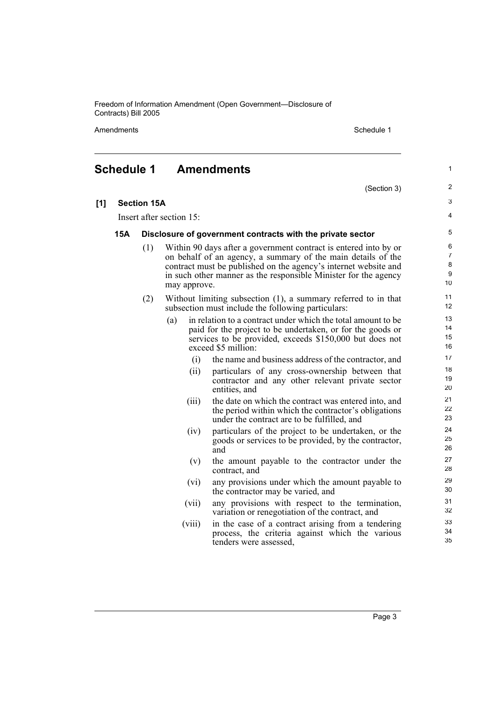Amendments **Schedule 1** Schedule 1

## <span id="page-6-0"></span>**Schedule 1 Amendments**

- (Section 3)
- 3 4

1

 $\overline{2}$ 

# **[1] Section 15A**

Insert after section 15:

#### **15A Disclosure of government contracts with the private sector**

- (1) Within 90 days after a government contract is entered into by or on behalf of an agency, a summary of the main details of the contract must be published on the agency's internet website and in such other manner as the responsible Minister for the agency may approve.
- (2) Without limiting subsection (1), a summary referred to in that subsection must include the following particulars:
	- (a) in relation to a contract under which the total amount to be paid for the project to be undertaken, or for the goods or services to be provided, exceeds \$150,000 but does not exceed \$5 million:
		- (i) the name and business address of the contractor, and
		- (ii) particulars of any cross-ownership between that contractor and any other relevant private sector entities, and
		- (iii) the date on which the contract was entered into, and the period within which the contractor's obligations under the contract are to be fulfilled, and
		- (iv) particulars of the project to be undertaken, or the goods or services to be provided, by the contractor, and
		- (v) the amount payable to the contractor under the contract, and
		- (vi) any provisions under which the amount payable to the contractor may be varied, and
		- (vii) any provisions with respect to the termination, variation or renegotiation of the contract, and
		- (viii) in the case of a contract arising from a tendering process, the criteria against which the various tenders were assessed,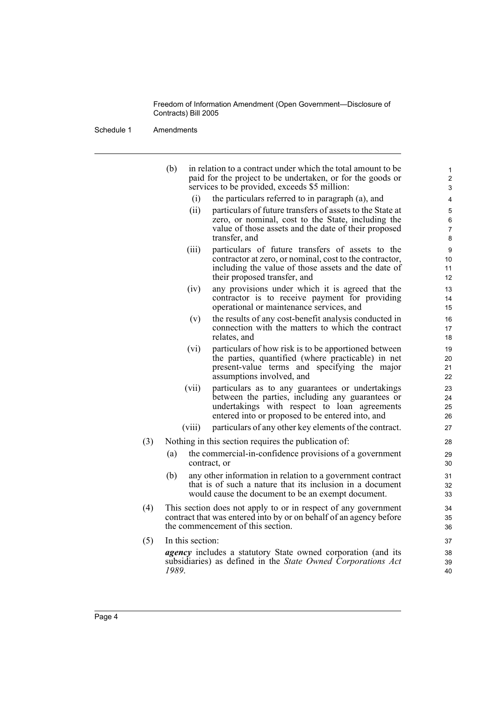Schedule 1 Amendments

|     | (b)              | in relation to a contract under which the total amount to be<br>paid for the project to be undertaken, or for the goods or | 1<br>$\overline{2}$ |
|-----|------------------|----------------------------------------------------------------------------------------------------------------------------|---------------------|
|     |                  | services to be provided, exceeds \$5 million:                                                                              | 3                   |
|     | (i)              | the particulars referred to in paragraph (a), and                                                                          | 4                   |
|     | (ii)             | particulars of future transfers of assets to the State at                                                                  | 5                   |
|     |                  | zero, or nominal, cost to the State, including the<br>value of those assets and the date of their proposed                 | 6<br>$\overline{7}$ |
|     |                  | transfer, and                                                                                                              | 8                   |
|     | (iii)            | particulars of future transfers of assets to the                                                                           | 9                   |
|     |                  | contractor at zero, or nominal, cost to the contractor,                                                                    | 10                  |
|     |                  | including the value of those assets and the date of                                                                        | 11                  |
|     |                  | their proposed transfer, and                                                                                               | 12                  |
|     | (iv)             | any provisions under which it is agreed that the                                                                           | 13                  |
|     |                  | contractor is to receive payment for providing<br>operational or maintenance services, and                                 | 14<br>15            |
|     | (v)              | the results of any cost-benefit analysis conducted in                                                                      | 16                  |
|     |                  | connection with the matters to which the contract                                                                          | 17                  |
|     |                  | relates, and                                                                                                               | 18                  |
|     | (vi)             | particulars of how risk is to be apportioned between<br>the parties, quantified (where practicable) in net                 | 19<br>20            |
|     |                  | present-value terms and specifying the major                                                                               | 21                  |
|     |                  | assumptions involved, and                                                                                                  | 22                  |
|     | (vii)            | particulars as to any guarantees or undertakings                                                                           | 23                  |
|     |                  | between the parties, including any guarantees or                                                                           | 24                  |
|     |                  | undertakings with respect to loan agreements                                                                               | 25                  |
|     |                  | entered into or proposed to be entered into, and                                                                           | 26                  |
|     | (viii)           | particulars of any other key elements of the contract.                                                                     | 27                  |
| (3) |                  | Nothing in this section requires the publication of:                                                                       | 28                  |
|     | (a)              | the commercial-in-confidence provisions of a government<br>contract, or                                                    | 29<br>30            |
|     | (b)              | any other information in relation to a government contract                                                                 | 31                  |
|     |                  | that is of such a nature that its inclusion in a document<br>would cause the document to be an exempt document.            | 32<br>33            |
| (4) |                  | This section does not apply to or in respect of any government                                                             | 34                  |
|     |                  | contract that was entered into by or on behalf of an agency before                                                         | 35                  |
|     |                  | the commencement of this section.                                                                                          | 36                  |
| (5) | In this section: |                                                                                                                            | 37                  |
|     |                  | <i>agency</i> includes a statutory State owned corporation (and its                                                        | 38                  |
|     |                  | subsidiaries) as defined in the State Owned Corporations Act                                                               | 39                  |
|     | 1989.            |                                                                                                                            | 40                  |
|     |                  |                                                                                                                            |                     |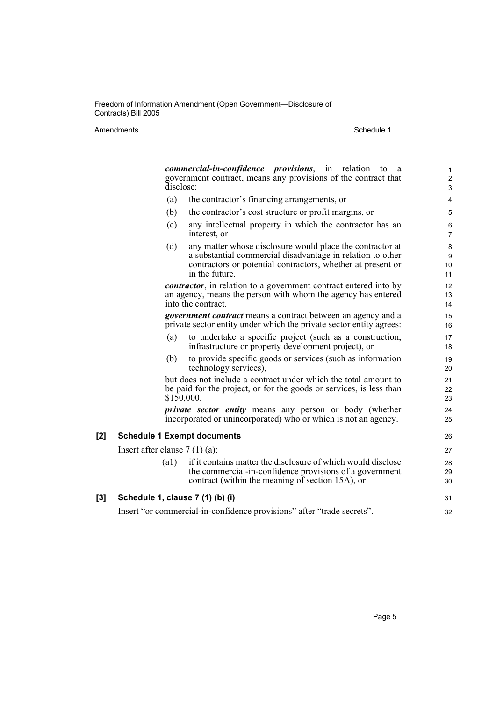#### Amendments Schedule 1

|     | <i>commercial-in-confidence provisions</i> , in relation to a<br>government contract, means any provisions of the contract that<br>disclose:                                                                    |  | 1<br>$\overline{2}$<br>3 |  |  |
|-----|-----------------------------------------------------------------------------------------------------------------------------------------------------------------------------------------------------------------|--|--------------------------|--|--|
|     | (a)<br>the contractor's financing arrangements, or                                                                                                                                                              |  | 4                        |  |  |
|     | (b)<br>the contractor's cost structure or profit margins, or                                                                                                                                                    |  | 5                        |  |  |
|     | any intellectual property in which the contractor has an<br>(c)<br>interest, or                                                                                                                                 |  | 6<br>$\overline{7}$      |  |  |
|     | (d)<br>any matter whose disclosure would place the contractor at<br>a substantial commercial disadvantage in relation to other<br>contractors or potential contractors, whether at present or<br>in the future. |  | 8<br>9<br>10<br>11       |  |  |
|     | <i>contractor</i> , in relation to a government contract entered into by<br>an agency, means the person with whom the agency has entered<br>into the contract.                                                  |  | 12<br>13<br>14           |  |  |
|     | <i>government contract</i> means a contract between an agency and a<br>private sector entity under which the private sector entity agrees:                                                                      |  | 15<br>16                 |  |  |
|     | to undertake a specific project (such as a construction,<br>(a)<br>infrastructure or property development project), or                                                                                          |  | 17<br>18                 |  |  |
|     | to provide specific goods or services (such as information<br>(b)<br>technology services),                                                                                                                      |  | 19<br>20                 |  |  |
|     | but does not include a contract under which the total amount to<br>be paid for the project, or for the goods or services, is less than<br>\$150,000.                                                            |  | 21<br>22<br>23           |  |  |
|     | private sector entity means any person or body (whether<br>incorporated or unincorporated) who or which is not an agency.                                                                                       |  | 24<br>25                 |  |  |
| [2] | <b>Schedule 1 Exempt documents</b>                                                                                                                                                                              |  |                          |  |  |
|     | Insert after clause $7(1)(a)$ :                                                                                                                                                                                 |  | 27                       |  |  |
|     | if it contains matter the disclosure of which would disclose<br>(a1)<br>the commercial-in-confidence provisions of a government<br>contract (within the meaning of section 15A), or                             |  | 28<br>29<br>30           |  |  |
| [3] | Schedule 1, clause 7 (1) (b) (i)                                                                                                                                                                                |  |                          |  |  |
|     | Insert "or commercial-in-confidence provisions" after "trade secrets".                                                                                                                                          |  |                          |  |  |
|     |                                                                                                                                                                                                                 |  |                          |  |  |